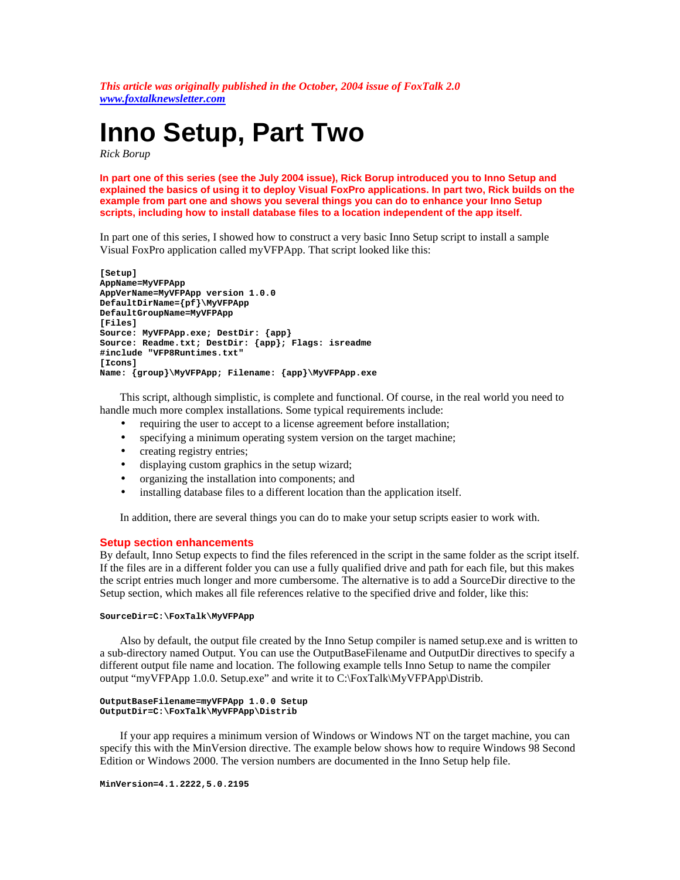*This article was originally published in the October, 2004 issue of FoxTalk 2.0 <www.foxtalknewsletter.com>*

# **Inno Setup, Part Two**

*Rick Borup*

**In part one of this series (see the July 2004 issue), Rick Borup introduced you to Inno Setup and explained the basics of using it to deploy Visual FoxPro applications. In part two, Rick builds on the example from part one and shows you several things you can do to enhance your Inno Setup scripts, including how to install database files to a location independent of the app itself.**

In part one of this series, I showed how to construct a very basic Inno Setup script to install a sample Visual FoxPro application called myVFPApp. That script looked like this:

```
[Setup]
AppName=MyVFPApp
AppVerName=MyVFPApp version 1.0.0
DefaultDirName={pf}\MyVFPApp
DefaultGroupName=MyVFPApp
[Files]
Source: MyVFPApp.exe; DestDir: {app}
Source: Readme.txt; DestDir: {app}; Flags: isreadme
#include "VFP8Runtimes.txt"
[Icons]
Name: {group}\MyVFPApp; Filename: {app}\MyVFPApp.exe
```
This script, although simplistic, is complete and functional. Of course, in the real world you need to handle much more complex installations. Some typical requirements include:

- requiring the user to accept to a license agreement before installation;
- specifying a minimum operating system version on the target machine;
- creating registry entries;
- displaying custom graphics in the setup wizard;
- organizing the installation into components; and
- installing database files to a different location than the application itself.

In addition, there are several things you can do to make your setup scripts easier to work with.

# **Setup section enhancements**

By default, Inno Setup expects to find the files referenced in the script in the same folder as the script itself. If the files are in a different folder you can use a fully qualified drive and path for each file, but this makes the script entries much longer and more cumbersome. The alternative is to add a SourceDir directive to the Setup section, which makes all file references relative to the specified drive and folder, like this:

#### **SourceDir=C:\FoxTalk\MyVFPApp**

Also by default, the output file created by the Inno Setup compiler is named setup.exe and is written to a sub-directory named Output. You can use the OutputBaseFilename and OutputDir directives to specify a different output file name and location. The following example tells Inno Setup to name the compiler output "myVFPApp 1.0.0. Setup.exe" and write it to C:\FoxTalk\MyVFPApp\Distrib.

```
OutputBaseFilename=myVFPApp 1.0.0 Setup
OutputDir=C:\FoxTalk\MyVFPApp\Distrib
```
If your app requires a minimum version of Windows or Windows NT on the target machine, you can specify this with the MinVersion directive. The example below shows how to require Windows 98 Second Edition or Windows 2000. The version numbers are documented in the Inno Setup help file.

**MinVersion=4.1.2222,5.0.2195**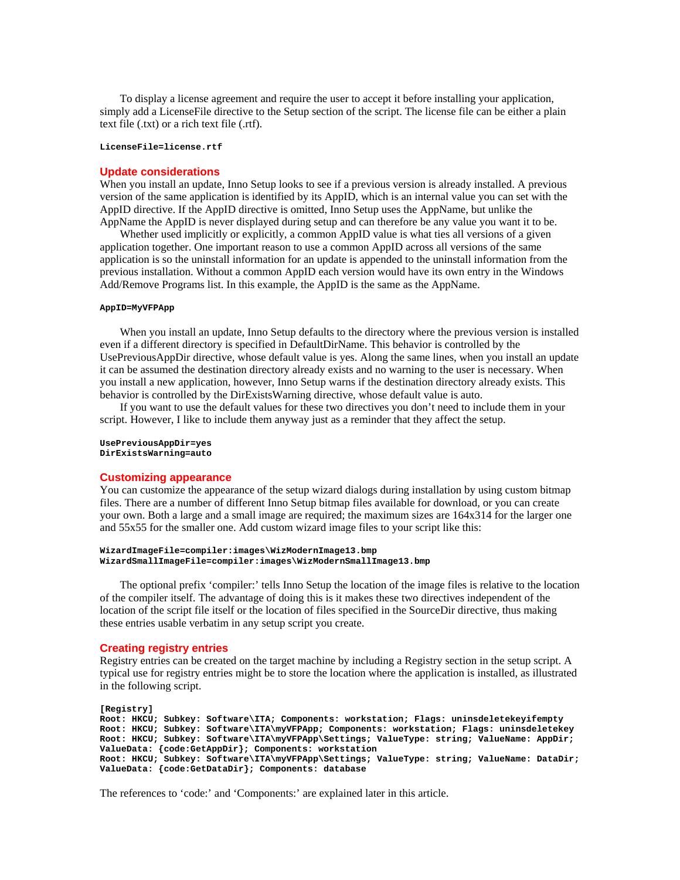To display a license agreement and require the user to accept it before installing your application, simply add a LicenseFile directive to the Setup section of the script. The license file can be either a plain text file (.txt) or a rich text file (.rtf).

## **LicenseFile=license.rtf**

#### **Update considerations**

When you install an update, Inno Setup looks to see if a previous version is already installed. A previous version of the same application is identified by its AppID, which is an internal value you can set with the AppID directive. If the AppID directive is omitted, Inno Setup uses the AppName, but unlike the AppName the AppID is never displayed during setup and can therefore be any value you want it to be.

Whether used implicitly or explicitly, a common AppID value is what ties all versions of a given application together. One important reason to use a common AppID across all versions of the same application is so the uninstall information for an update is appended to the uninstall information from the previous installation. Without a common AppID each version would have its own entry in the Windows Add/Remove Programs list. In this example, the AppID is the same as the AppName.

#### **AppID=MyVFPApp**

When you install an update, Inno Setup defaults to the directory where the previous version is installed even if a different directory is specified in DefaultDirName. This behavior is controlled by the UsePreviousAppDir directive, whose default value is yes. Along the same lines, when you install an update it can be assumed the destination directory already exists and no warning to the user is necessary. When you install a new application, however, Inno Setup warns if the destination directory already exists. This behavior is controlled by the DirExistsWarning directive, whose default value is auto.

If you want to use the default values for these two directives you don't need to include them in your script. However, I like to include them anyway just as a reminder that they affect the setup.

**UsePreviousAppDir=yes DirExistsWarning=auto**

#### **Customizing appearance**

You can customize the appearance of the setup wizard dialogs during installation by using custom bitmap files. There are a number of different Inno Setup bitmap files available for download, or you can create your own. Both a large and a small image are required; the maximum sizes are 164x314 for the larger one and 55x55 for the smaller one. Add custom wizard image files to your script like this:

```
WizardImageFile=compiler:images\WizModernImage13.bmp
WizardSmallImageFile=compiler:images\WizModernSmallImage13.bmp
```
The optional prefix 'compiler:' tells Inno Setup the location of the image files is relative to the location of the compiler itself. The advantage of doing this is it makes these two directives independent of the location of the script file itself or the location of files specified in the SourceDir directive, thus making these entries usable verbatim in any setup script you create.

## **Creating registry entries**

Registry entries can be created on the target machine by including a Registry section in the setup script. A typical use for registry entries might be to store the location where the application is installed, as illustrated in the following script.

**[Registry] Root: HKCU; Subkey: Software\ITA; Components: workstation; Flags: uninsdeletekeyifempty Root: HKCU; Subkey: Software\ITA\myVFPApp; Components: workstation; Flags: uninsdeletekey** Root: HKCU; Subkey: Software\ITA\myVFPApp\Settings; ValueType: string; ValueName: AppDir; **ValueData: {code:GetAppDir}; Components: workstation Root: HKCU; Subkey: Software\ITA\myVFPApp\Settings; ValueType: string; ValueName: DataDir; ValueData: {code:GetDataDir}; Components: database**

The references to 'code:' and 'Components:' are explained later in this article.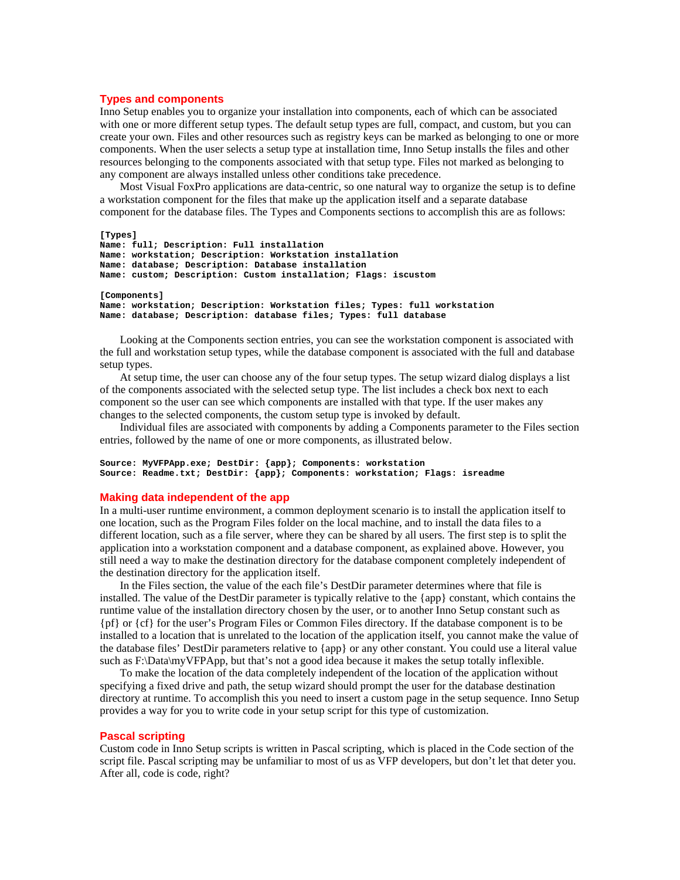## **Types and components**

Inno Setup enables you to organize your installation into components, each of which can be associated with one or more different setup types. The default setup types are full, compact, and custom, but you can create your own. Files and other resources such as registry keys can be marked as belonging to one or more components. When the user selects a setup type at installation time, Inno Setup installs the files and other resources belonging to the components associated with that setup type. Files not marked as belonging to any component are always installed unless other conditions take precedence.

Most Visual FoxPro applications are data-centric, so one natural way to organize the setup is to define a workstation component for the files that make up the application itself and a separate database component for the database files. The Types and Components sections to accomplish this are as follows:

```
[Types]
Name: full; Description: Full installation
Name: workstation; Description: Workstation installation
Name: database; Description: Database installation
Name: custom; Description: Custom installation; Flags: iscustom
[Components]
Name: workstation; Description: Workstation files; Types: full workstation
Name: database; Description: database files; Types: full database
```
Looking at the Components section entries, you can see the workstation component is associated with the full and workstation setup types, while the database component is associated with the full and database setup types.

At setup time, the user can choose any of the four setup types. The setup wizard dialog displays a list of the components associated with the selected setup type. The list includes a check box next to each component so the user can see which components are installed with that type. If the user makes any changes to the selected components, the custom setup type is invoked by default.

Individual files are associated with components by adding a Components parameter to the Files section entries, followed by the name of one or more components, as illustrated below.

```
Source: MyVFPApp.exe; DestDir: {app}; Components: workstation
Source: Readme.txt; DestDir: {app}; Components: workstation; Flags: isreadme
```
#### **Making data independent of the app**

In a multi-user runtime environment, a common deployment scenario is to install the application itself to one location, such as the Program Files folder on the local machine, and to install the data files to a different location, such as a file server, where they can be shared by all users. The first step is to split the application into a workstation component and a database component, as explained above. However, you still need a way to make the destination directory for the database component completely independent of the destination directory for the application itself.

In the Files section, the value of the each file's DestDir parameter determines where that file is installed. The value of the DestDir parameter is typically relative to the {app} constant, which contains the runtime value of the installation directory chosen by the user, or to another Inno Setup constant such as {pf} or {cf} for the user's Program Files or Common Files directory. If the database component is to be installed to a location that is unrelated to the location of the application itself, you cannot make the value of the database files' DestDir parameters relative to {app} or any other constant. You could use a literal value such as F:\Data\myVFPApp, but that's not a good idea because it makes the setup totally inflexible.

To make the location of the data completely independent of the location of the application without specifying a fixed drive and path, the setup wizard should prompt the user for the database destination directory at runtime. To accomplish this you need to insert a custom page in the setup sequence. Inno Setup provides a way for you to write code in your setup script for this type of customization.

### **Pascal scripting**

Custom code in Inno Setup scripts is written in Pascal scripting, which is placed in the Code section of the script file. Pascal scripting may be unfamiliar to most of us as VFP developers, but don't let that deter you. After all, code is code, right?